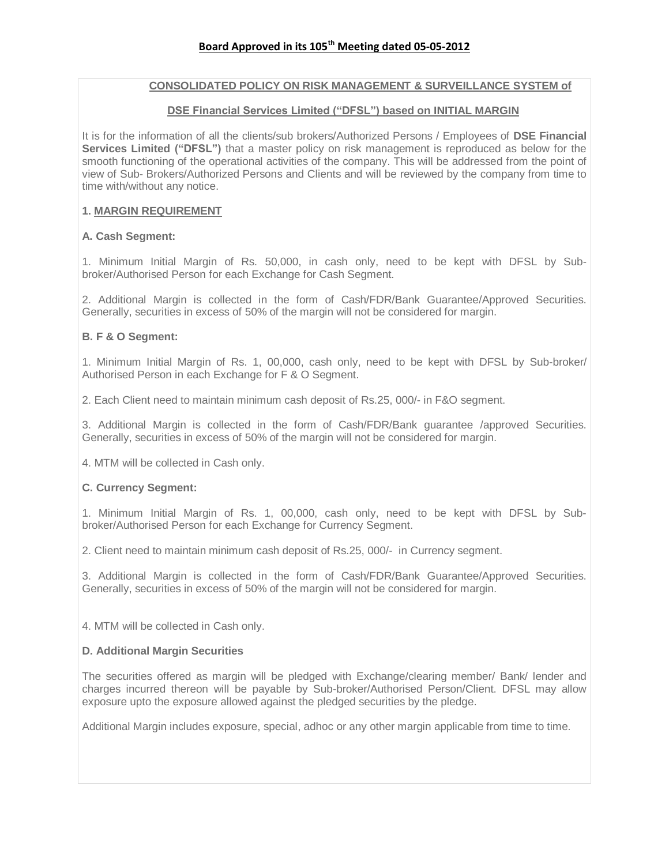# **CONSOLIDATED POLICY ON RISK MANAGEMENT & SURVEILLANCE SYSTEM of**

### **DSE Financial Services Limited ("DFSL") based on INITIAL MARGIN**

It is for the information of all the clients/sub brokers/Authorized Persons / Employees of **DSE Financial Services Limited ("DFSL")** that a master policy on risk management is reproduced as below for the smooth functioning of the operational activities of the company. This will be addressed from the point of view of Sub- Brokers/Authorized Persons and Clients and will be reviewed by the company from time to time with/without any notice.

# **1. MARGIN REQUIREMENT**

# **A. Cash Segment:**

1. Minimum Initial Margin of Rs. 50,000, in cash only, need to be kept with DFSL by Subbroker/Authorised Person for each Exchange for Cash Segment.

2. Additional Margin is collected in the form of Cash/FDR/Bank Guarantee/Approved Securities. Generally, securities in excess of 50% of the margin will not be considered for margin.

# **B. F & O Segment:**

1. Minimum Initial Margin of Rs. 1, 00,000, cash only, need to be kept with DFSL by Sub-broker/ Authorised Person in each Exchange for F & O Segment.

2. Each Client need to maintain minimum cash deposit of Rs.25, 000/- in F&O segment.

3. Additional Margin is collected in the form of Cash/FDR/Bank guarantee /approved Securities. Generally, securities in excess of 50% of the margin will not be considered for margin.

4. MTM will be collected in Cash only.

# **C. Currency Segment:**

1. Minimum Initial Margin of Rs. 1, 00,000, cash only, need to be kept with DFSL by Subbroker/Authorised Person for each Exchange for Currency Segment.

2. Client need to maintain minimum cash deposit of Rs.25, 000/- in Currency segment.

3. Additional Margin is collected in the form of Cash/FDR/Bank Guarantee/Approved Securities. Generally, securities in excess of 50% of the margin will not be considered for margin.

4. MTM will be collected in Cash only.

# **D. Additional Margin Securities**

The securities offered as margin will be pledged with Exchange/clearing member/ Bank/ lender and charges incurred thereon will be payable by Sub-broker/Authorised Person/Client. DFSL may allow exposure upto the exposure allowed against the pledged securities by the pledge.

Additional Margin includes exposure, special, adhoc or any other margin applicable from time to time.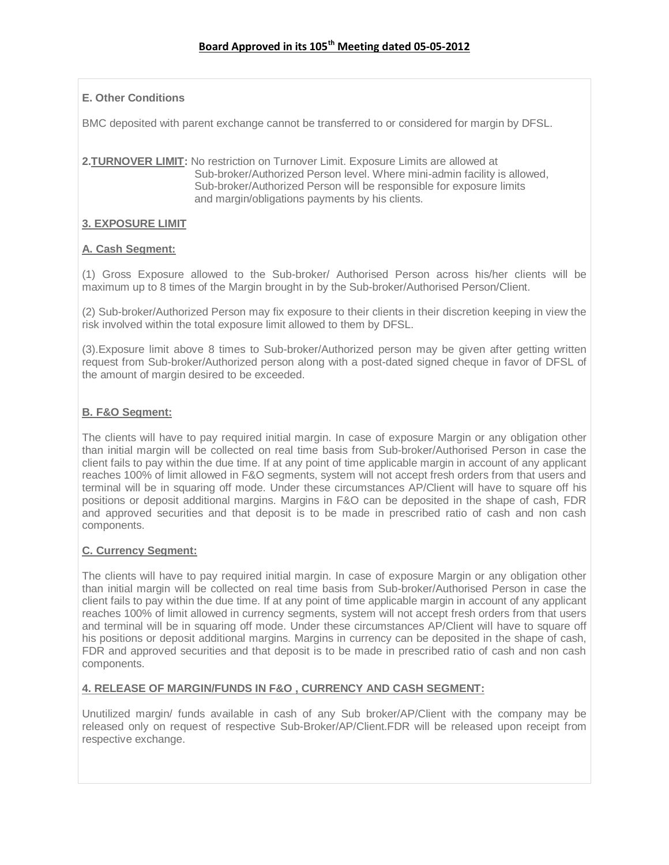# **E. Other Conditions**

BMC deposited with parent exchange cannot be transferred to or considered for margin by DFSL.

**2.TURNOVER LIMIT:** No restriction on Turnover Limit. Exposure Limits are allowed at Sub-broker/Authorized Person level. Where mini-admin facility is allowed, Sub-broker/Authorized Person will be responsible for exposure limits and margin/obligations payments by his clients.

# **3. EXPOSURE LIMIT**

# **A. Cash Segment:**

(1) Gross Exposure allowed to the Sub-broker/ Authorised Person across his/her clients will be maximum up to 8 times of the Margin brought in by the Sub-broker/Authorised Person/Client.

(2) Sub-broker/Authorized Person may fix exposure to their clients in their discretion keeping in view the risk involved within the total exposure limit allowed to them by DFSL.

(3).Exposure limit above 8 times to Sub-broker/Authorized person may be given after getting written request from Sub-broker/Authorized person along with a post-dated signed cheque in favor of DFSL of the amount of margin desired to be exceeded.

# **B. F&O Segment:**

The clients will have to pay required initial margin. In case of exposure Margin or any obligation other than initial margin will be collected on real time basis from Sub-broker/Authorised Person in case the client fails to pay within the due time. If at any point of time applicable margin in account of any applicant reaches 100% of limit allowed in F&O segments, system will not accept fresh orders from that users and terminal will be in squaring off mode. Under these circumstances AP/Client will have to square off his positions or deposit additional margins. Margins in F&O can be deposited in the shape of cash, FDR and approved securities and that deposit is to be made in prescribed ratio of cash and non cash components.

# **C. Currency Segment:**

The clients will have to pay required initial margin. In case of exposure Margin or any obligation other than initial margin will be collected on real time basis from Sub-broker/Authorised Person in case the client fails to pay within the due time. If at any point of time applicable margin in account of any applicant reaches 100% of limit allowed in currency segments, system will not accept fresh orders from that users and terminal will be in squaring off mode. Under these circumstances AP/Client will have to square off his positions or deposit additional margins. Margins in currency can be deposited in the shape of cash, FDR and approved securities and that deposit is to be made in prescribed ratio of cash and non cash components.

# **4. RELEASE OF MARGIN/FUNDS IN F&O , CURRENCY AND CASH SEGMENT:**

Unutilized margin/ funds available in cash of any Sub broker/AP/Client with the company may be released only on request of respective Sub-Broker/AP/Client.FDR will be released upon receipt from respective exchange.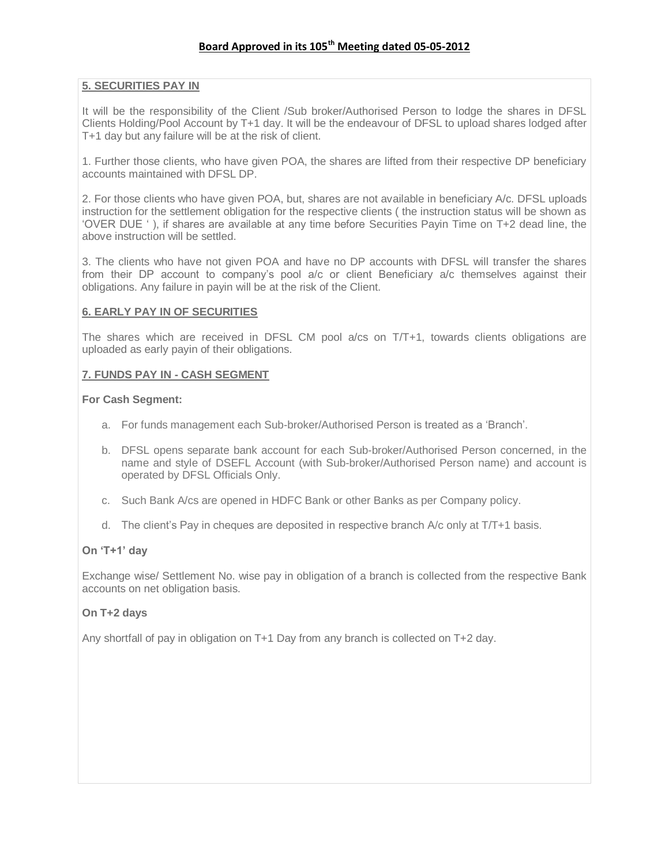### **5. SECURITIES PAY IN**

It will be the responsibility of the Client /Sub broker/Authorised Person to lodge the shares in DFSL Clients Holding/Pool Account by T+1 day. It will be the endeavour of DFSL to upload shares lodged after T+1 day but any failure will be at the risk of client.

1. Further those clients, who have given POA, the shares are lifted from their respective DP beneficiary accounts maintained with DFSL DP.

2. For those clients who have given POA, but, shares are not available in beneficiary A/c. DFSL uploads instruction for the settlement obligation for the respective clients ( the instruction status will be shown as 'OVER DUE ' ), if shares are available at any time before Securities Payin Time on T+2 dead line, the above instruction will be settled.

3. The clients who have not given POA and have no DP accounts with DFSL will transfer the shares from their DP account to company's pool a/c or client Beneficiary a/c themselves against their obligations. Any failure in payin will be at the risk of the Client.

# **6. EARLY PAY IN OF SECURITIES**

The shares which are received in DFSL CM pool a/cs on T/T+1, towards clients obligations are uploaded as early payin of their obligations.

### **7. FUNDS PAY IN - CASH SEGMENT**

#### **For Cash Segment:**

- a. For funds management each Sub-broker/Authorised Person is treated as a 'Branch'.
- b. DFSL opens separate bank account for each Sub-broker/Authorised Person concerned, in the name and style of DSEFL Account (with Sub-broker/Authorised Person name) and account is operated by DFSL Officials Only.
- c. Such Bank A/cs are opened in HDFC Bank or other Banks as per Company policy.
- d. The client's Pay in cheques are deposited in respective branch A/c only at T/T+1 basis.

# **On "T+1" day**

Exchange wise/ Settlement No. wise pay in obligation of a branch is collected from the respective Bank accounts on net obligation basis.

#### **On T+2 days**

Any shortfall of pay in obligation on T+1 Day from any branch is collected on T+2 day.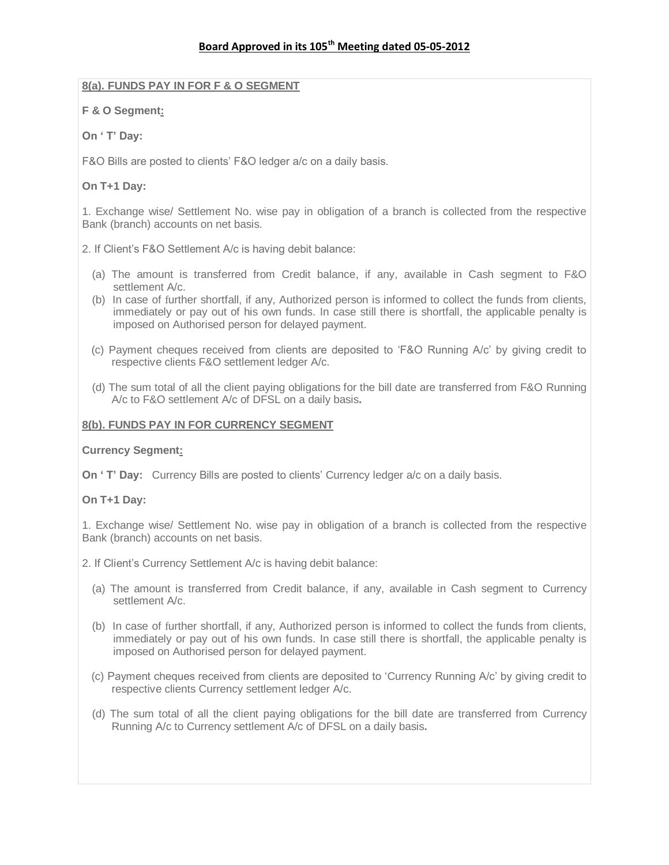### **8(a). FUNDS PAY IN FOR F & O SEGMENT**

### **F & O Segment:**

# **On " T" Day:**

F&O Bills are posted to clients' F&O ledger a/c on a daily basis.

### **On T+1 Day:**

1. Exchange wise/ Settlement No. wise pay in obligation of a branch is collected from the respective Bank (branch) accounts on net basis.

2. If Client's F&O Settlement A/c is having debit balance:

- (a) The amount is transferred from Credit balance, if any, available in Cash segment to F&O settlement A/c.
- (b) In case of further shortfall, if any, Authorized person is informed to collect the funds from clients, immediately or pay out of his own funds. In case still there is shortfall, the applicable penalty is imposed on Authorised person for delayed payment.
- (c) Payment cheques received from clients are deposited to 'F&O Running A/c' by giving credit to respective clients F&O settlement ledger A/c.
- (d) The sum total of all the client paying obligations for the bill date are transferred from F&O Running A/c to F&O settlement A/c of DFSL on a daily basis**.**

#### **8(b). FUNDS PAY IN FOR CURRENCY SEGMENT**

#### **Currency Segment:**

**On 'T' Day:** Currency Bills are posted to clients' Currency ledger a/c on a daily basis.

#### **On T+1 Day:**

1. Exchange wise/ Settlement No. wise pay in obligation of a branch is collected from the respective Bank (branch) accounts on net basis.

- 2. If Client's Currency Settlement A/c is having debit balance:
	- (a) The amount is transferred from Credit balance, if any, available in Cash segment to Currency settlement A/c.
	- (b) In case of further shortfall, if any, Authorized person is informed to collect the funds from clients, immediately or pay out of his own funds. In case still there is shortfall, the applicable penalty is imposed on Authorised person for delayed payment.
	- (c) Payment cheques received from clients are deposited to 'Currency Running A/c' by giving credit to respective clients Currency settlement ledger A/c.
	- (d) The sum total of all the client paying obligations for the bill date are transferred from Currency Running A/c to Currency settlement A/c of DFSL on a daily basis**.**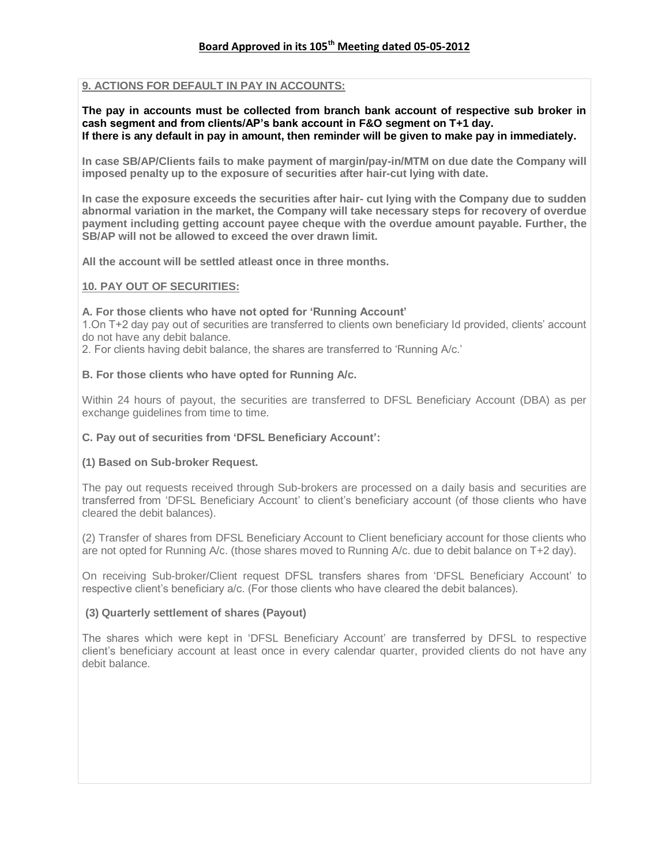# **9. ACTIONS FOR DEFAULT IN PAY IN ACCOUNTS:**

**The pay in accounts must be collected from branch bank account of respective sub broker in cash segment and from clients/AP"s bank account in F&O segment on T+1 day. If there is any default in pay in amount, then reminder will be given to make pay in immediately.**

**In case SB/AP/Clients fails to make payment of margin/pay-in/MTM on due date the Company will imposed penalty up to the exposure of securities after hair-cut lying with date.**

**In case the exposure exceeds the securities after hair- cut lying with the Company due to sudden abnormal variation in the market, the Company will take necessary steps for recovery of overdue payment including getting account payee cheque with the overdue amount payable. Further, the SB/AP will not be allowed to exceed the over drawn limit.**

**All the account will be settled atleast once in three months.** 

### **10. PAY OUT OF SECURITIES:**

#### **A. For those clients who have not opted for "Running Account"**

1.On T+2 day pay out of securities are transferred to clients own beneficiary Id provided, clients' account do not have any debit balance.

2. For clients having debit balance, the shares are transferred to 'Running A/c.'

### **B. For those clients who have opted for Running A/c.**

Within 24 hours of payout, the securities are transferred to DFSL Beneficiary Account (DBA) as per exchange guidelines from time to time.

### **C. Pay out of securities from "DFSL Beneficiary Account":**

#### **(1) Based on Sub-broker Request.**

The pay out requests received through Sub-brokers are processed on a daily basis and securities are transferred from 'DFSL Beneficiary Account' to client's beneficiary account (of those clients who have cleared the debit balances).

(2) Transfer of shares from DFSL Beneficiary Account to Client beneficiary account for those clients who are not opted for Running A/c. (those shares moved to Running A/c. due to debit balance on T+2 day).

On receiving Sub-broker/Client request DFSL transfers shares from 'DFSL Beneficiary Account' to respective client's beneficiary a/c. (For those clients who have cleared the debit balances).

#### **(3) Quarterly settlement of shares (Payout)**

The shares which were kept in 'DFSL Beneficiary Account' are transferred by DFSL to respective client's beneficiary account at least once in every calendar quarter, provided clients do not have any debit balance.